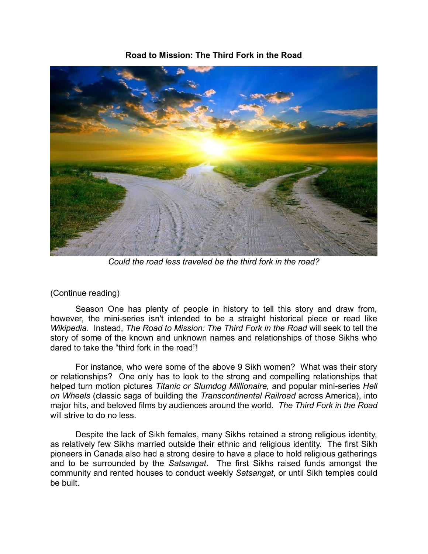## **Road to Mission: The Third Fork in the Road**

*Could the road less traveled be the third fork in the road?* 

## (Continue reading)

Season One has plenty of people in history to tell this story and draw from, however, the mini-series isn't intended to be a straight historical piece or read like *Wikipedia*. Instead, *The Road to Mission: The Third Fork in the Road* will seek to tell the story of some of the known and unknown names and relationships of those Sikhs who dared to take the "third fork in the road"!

For instance, who were some of the above 9 Sikh women? What was their story or relationships? One only has to look to the strong and compelling relationships that helped turn motion pictures *Titanic or Slumdog Millionaire,* and popular mini-series *Hell on Wheels* (classic saga of building the *Transcontinental Railroad* across America), into major hits, and beloved films by audiences around the world. *The Third Fork in the Road* will strive to do no less.

Despite the lack of Sikh females, many Sikhs retained a strong religious identity, as relatively few Sikhs married outside their ethnic and religious identity. The first Sikh pioneers in Canada also had a strong desire to have a place to hold religious gatherings and to be surrounded by the *Satsangat*. The first Sikhs raised funds amongst the community and rented houses to conduct weekly *Satsangat*, or until Sikh temples could be built.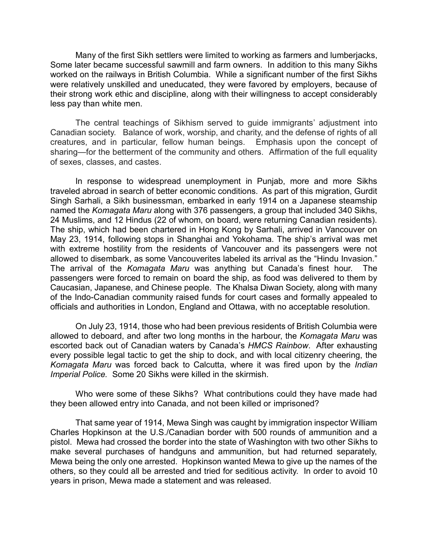Many of the first Sikh settlers were limited to working as farmers and lumberjacks, Some later became successful sawmill and farm owners. In addition to this many Sikhs worked on the railways in British Columbia. While a significant number of the first Sikhs were relatively unskilled and uneducated, they were favored by employers, because of their strong work ethic and discipline, along with their willingness to accept considerably less pay than white men.

The central teachings of Sikhism served to guide immigrants' adjustment into Canadian society. Balance of work, worship, and charity, and the defense of rights of all creatures, and in particular, fellow human beings. Emphasis upon the concept of sharing—for the betterment of the community and others. Affirmation of the full equality of sexes, classes, and castes.

In response to widespread unemployment in Punjab, more and more Sikhs traveled abroad in search of better economic conditions. As part of this migration, Gurdit Singh Sarhali, a Sikh businessman, embarked in early 1914 on a Japanese steamship named the *Komagata Maru* along with 376 passengers, a group that included 340 Sikhs, 24 Muslims, and 12 Hindus (22 of whom, on board, were returning Canadian residents). The ship, which had been chartered in Hong Kong by Sarhali, arrived in Vancouver on May 23, 1914, following stops in Shanghai and Yokohama. The ship's arrival was met with extreme hostility from the residents of Vancouver and its passengers were not allowed to disembark, as some Vancouverites labeled its arrival as the "Hindu Invasion." The arrival of the *Komagata Maru* was anything but Canada's finest hour. The passengers were forced to remain on board the ship, as food was delivered to them by Caucasian, Japanese, and Chinese people. The Khalsa Diwan Society, along with many of the Indo-Canadian community raised funds for court cases and formally appealed to officials and authorities in London, England and Ottawa, with no acceptable resolution.

On July 23, 1914, those who had been previous residents of British Columbia were allowed to deboard, and after two long months in the harbour, the *Komagata Maru* was escorted back out of Canadian waters by Canada's *HMCS Rainbow*. After exhausting every possible legal tactic to get the ship to dock, and with local citizenry cheering, the *Komagata Maru* was forced back to Calcutta, where it was fired upon by the *Indian Imperial Police.* Some 20 Sikhs were killed in the skirmish.

Who were some of these Sikhs? What contributions could they have made had they been allowed entry into Canada, and not been killed or imprisoned?

That same year of 1914, Mewa Singh was caught by immigration inspector William Charles Hopkinson at the U.S./Canadian border with 500 rounds of ammunition and a pistol. Mewa had crossed the border into the state of Washington with two other Sikhs to make several purchases of handguns and ammunition, but had returned separately, Mewa being the only one arrested. Hopkinson wanted Mewa to give up the names of the others, so they could all be arrested and tried for seditious activity. In order to avoid 10 years in prison, Mewa made a statement and was released.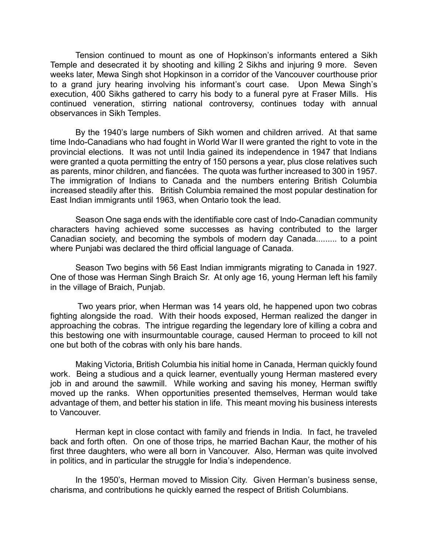Tension continued to mount as one of Hopkinson's informants entered a Sikh Temple and desecrated it by shooting and killing 2 Sikhs and injuring 9 more. Seven weeks later, Mewa Singh shot Hopkinson in a corridor of the Vancouver courthouse prior to a grand jury hearing involving his informant's court case. Upon Mewa Singh's execution, 400 Sikhs gathered to carry his body to a funeral pyre at Fraser Mills. His continued veneration, stirring national controversy, continues today with annual observances in Sikh Temples.

By the 1940's large numbers of Sikh women and children arrived. At that same time Indo-Canadians who had fought in World War II were granted the right to vote in the provincial elections. It was not until India gained its independence in 1947 that Indians were granted a quota permitting the entry of 150 persons a year, plus close relatives such as parents, minor children, and fiancées. The quota was further increased to 300 in 1957. The immigration of Indians to Canada and the numbers entering British Columbia increased steadily after this. British Columbia remained the most popular destination for East Indian immigrants until 1963, when Ontario took the lead.

Season One saga ends with the identifiable core cast of Indo-Canadian community characters having achieved some successes as having contributed to the larger Canadian society, and becoming the symbols of modern day Canada......... to a point where Punjabi was declared the third official language of Canada.

Season Two begins with 56 East Indian immigrants migrating to Canada in 1927. One of those was Herman Singh Braich Sr. At only age 16, young Herman left his family in the village of Braich, Punjab.

Two years prior, when Herman was 14 years old, he happened upon two cobras fighting alongside the road. With their hoods exposed, Herman realized the danger in approaching the cobras. The intrigue regarding the legendary lore of killing a cobra and this bestowing one with insurmountable courage, caused Herman to proceed to kill not one but both of the cobras with only his bare hands.

Making Victoria, British Columbia his initial home in Canada, Herman quickly found work. Being a studious and a quick learner, eventually young Herman mastered every job in and around the sawmill. While working and saving his money, Herman swiftly moved up the ranks. When opportunities presented themselves, Herman would take advantage of them, and better his station in life. This meant moving his business interests to Vancouver.

Herman kept in close contact with family and friends in India. In fact, he traveled back and forth often. On one of those trips, he married Bachan Kaur, the mother of his first three daughters, who were all born in Vancouver. Also, Herman was quite involved in politics, and in particular the struggle for India's independence.

In the 1950's, Herman moved to Mission City. Given Herman's business sense, charisma, and contributions he quickly earned the respect of British Columbians.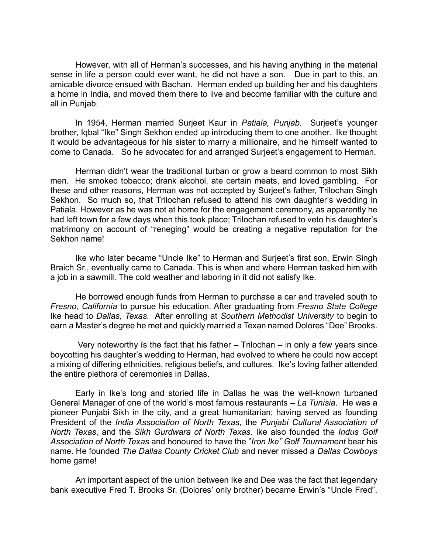However, with all of Herman's successes, and his having anything in the material sense in life a person could ever want, he did not have a son. Due in part to this, an amicable divorce ensued with Bachan. Herman ended up building her and his daughters a home in India, and moved them there to live and become familiar with the culture and all in Punjab.

In 1954, Herman married Surjeet Kaur in *Patiala, Punjab*. Surjeet's younger brother, Iqbal "Ike" Singh Sekhon ended up introducing them to one another. Ike thought it would be advantageous for his sister to marry a millionaire, and he himself wanted to come to Canada. So he advocated for and arranged Surjeet's engagement to Herman.

Herman didn't wear the traditional turban or grow a beard common to most Sikh men. He smoked tobacco; drank alcohol, ate certain meats, and loved gambling. For these and other reasons, Herman was not accepted by Surjeet's father, Trilochan Singh Sekhon. So much so, that Trilochan refused to attend his own daughter's wedding in Patiala. However as he was not at home for the engagement ceremony, as apparently he had left town for a few days when this took place; Trilochan refused to veto his daughter's matrimony on account of "reneging" would be creating a negative reputation for the Sekhon name!

Ike who later became "Uncle Ike" to Herman and Surjeet's first son, Erwin Singh Braich Sr., eventually came to Canada. This is when and where Herman tasked him with a job in a sawmill. The cold weather and laboring in it did not satisfy Ike.

He borrowed enough funds from Herman to purchase a car and traveled south to *Fresno, California* to pursue his education. After graduating from *Fresno State College* Ike head to *Dallas, Texas.* After enrolling at *Southern Methodist University* to begin to earn a Master's degree he met and quickly married a Texan named Dolores "Dee" Brooks.

Very noteworthy is the fact that his father  $-$  Trilochan  $-$  in only a few years since boycotting his daughter's wedding to Herman, had evolved to where he could now accept a mixing of differing ethnicities, religious beliefs, and cultures. Ike's loving father attended the entire plethora of ceremonies in Dallas.

Early in Ike's long and storied life in Dallas he was the well-known turbaned General Manager of one of the world's most famous restaurants – *La Tunisia*. He was a pioneer Punjabi Sikh in the city, and a great humanitarian; having served as founding President of the *India Association of North Texas*, the *Punjabi Cultural Association of North Texas*, and the *Sikh Gurdwara of North Texas*. Ike also founded the *Indus Golf Association of North Texas* and honoured to have the "*Iron Ike" Golf Tournament* bear his name. He founded *The Dallas County Cricket Club* and never missed a *Dallas Cowboys* home game!

An important aspect of the union between Ike and Dee was the fact that legendary bank executive Fred T. Brooks Sr. (Dolores' only brother) became Erwin's "Uncle Fred".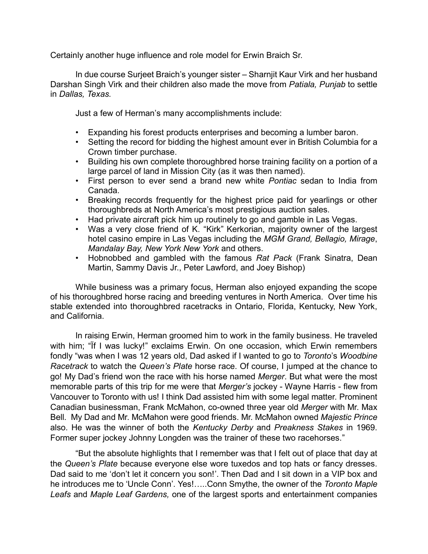Certainly another huge influence and role model for Erwin Braich Sr.

In due course Surjeet Braich's younger sister – Sharnjit Kaur Virk and her husband Darshan Singh Virk and their children also made the move from *Patiala, Punjab* to settle in *Dallas, Texas.*

Just a few of Herman's many accomplishments include:

- Expanding his forest products enterprises and becoming a lumber baron.
- Setting the record for bidding the highest amount ever in British Columbia for a Crown timber purchase.
- Building his own complete thoroughbred horse training facility on a portion of a large parcel of land in Mission City (as it was then named).
- First person to ever send a brand new white *Pontiac* sedan to India from Canada.
- Breaking records frequently for the highest price paid for yearlings or other thoroughbreds at North America's most prestigious auction sales.
- Had private aircraft pick him up routinely to go and gamble in Las Vegas.
- Was a very close friend of K. "Kirk" Kerkorian, majority owner of the largest hotel casino empire in Las Vegas including the *MGM Grand, Bellagio, Mirage*, *Mandalay Bay, New York New York* and others.
- Hobnobbed and gambled with the famous *Rat Pack* (Frank Sinatra, Dean Martin, Sammy Davis Jr., Peter Lawford, and Joey Bishop)

While business was a primary focus, Herman also enjoyed expanding the scope of his thoroughbred horse racing and breeding ventures in North America. Over time his stable extended into thoroughbred racetracks in Ontario, Florida, Kentucky, New York, and California.

In raising Erwin, Herman groomed him to work in the family business. He traveled with him; "If I was lucky!" exclaims Erwin. On one occasion, which Erwin remembers fondly "was when I was 12 years old, Dad asked if I wanted to go to *Toronto*'s *Woodbine Racetrack* to watch the *Queen's Plate* horse race. Of course, I jumped at the chance to go! My Dad's friend won the race with his horse named *Merger*. But what were the most memorable parts of this trip for me were that *Merger's* jockey - Wayne Harris - flew from Vancouver to Toronto with us! I think Dad assisted him with some legal matter. Prominent Canadian businessman, Frank McMahon, co-owned three year old *Merger* with Mr. Max Bell. My Dad and Mr. McMahon were good friends. Mr. McMahon owned *Majestic Prince*  also. He was the winner of both the *Kentucky Derby* and *Preakness Stakes* in 1969. Former super jockey Johnny Longden was the trainer of these two racehorses."

"But the absolute highlights that I remember was that I felt out of place that day at the *Queen's Plate* because everyone else wore tuxedos and top hats or fancy dresses. Dad said to me 'don't let it concern you son!'. Then Dad and I sit down in a VIP box and he introduces me to 'Uncle Conn'. Yes!…..Conn Smythe, the owner of the *Toronto Maple Leafs* and *Maple Leaf Gardens,* one of the largest sports and entertainment companies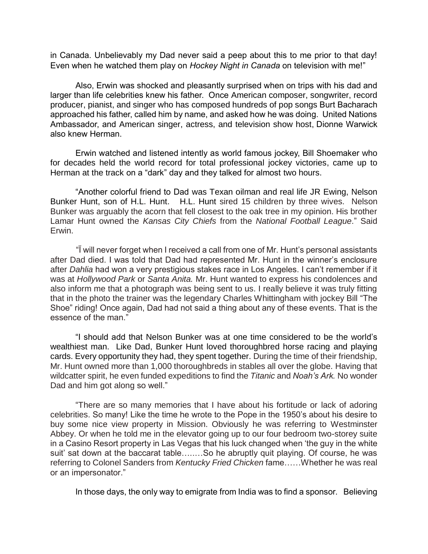in Canada. Unbelievably my Dad never said a peep about this to me prior to that day! Even when he watched them play on *Hockey Night in Canada* on television with me!"

Also, Erwin was shocked and pleasantly surprised when on trips with his dad and larger than life celebrities knew his father. Once American composer, songwriter, record producer, pianist, and singer who has composed hundreds of pop songs Burt Bacharach approached his father, called him by name, and asked how he was doing. United Nations Ambassador, and American singer, actress, and television show host, Dionne Warwick also knew Herman.

Erwin watched and listened intently as world famous jockey, Bill Shoemaker who for decades held the world record for total professional jockey victories, came up to Herman at the track on a "dark" day and they talked for almost two hours.

"Another colorful friend to Dad was Texan oilman and real life JR Ewing, Nelson Bunker Hunt, son of H.L. Hunt. H.L. Hunt sired 15 children by three wives. Nelson Bunker was arguably the acorn that fell closest to the oak tree in my opinion. His brother Lamar Hunt owned the *Kansas City Chiefs* from the *National Football League*." Said Erwin.

 "Ï will never forget when I received a call from one of Mr. Hunt's personal assistants after Dad died. I was told that Dad had represented Mr. Hunt in the winner's enclosure after *Dahlia* had won a very prestigious stakes race in Los Angeles. I can't remember if it was at *Hollywood Park* or *Santa Anita.* Mr. Hunt wanted to express his condolences and also inform me that a photograph was being sent to us. I really believe it was truly fitting that in the photo the trainer was the legendary Charles Whittingham with jockey Bill "The Shoe" riding! Once again, Dad had not said a thing about any of these events. That is the essence of the man."

"I should add that Nelson Bunker was at one time considered to be the world's wealthiest man. Like Dad, Bunker Hunt loved thoroughbred horse racing and playing cards. Every opportunity they had, they spent together. During the time of their friendship, Mr. Hunt owned more than 1,000 thoroughbreds in stables all over the globe. Having that wildcatter spirit, he even funded expeditions to find the *Titanic* and *Noah's Ark.* No wonder Dad and him got along so well."

"There are so many memories that I have about his fortitude or lack of adoring celebrities. So many! Like the time he wrote to the Pope in the 1950's about his desire to buy some nice view property in Mission. Obviously he was referring to Westminster Abbey. Or when he told me in the elevator going up to our four bedroom two-storey suite in a Casino Resort property in Las Vegas that his luck changed when 'the guy in the white suit' sat down at the baccarat table…....So he abruptly quit playing. Of course, he was referring to Colonel Sanders from *Kentucky Fried Chicken* fame……Whether he was real or an impersonator."

In those days, the only way to emigrate from India was to find a sponsor. Believing